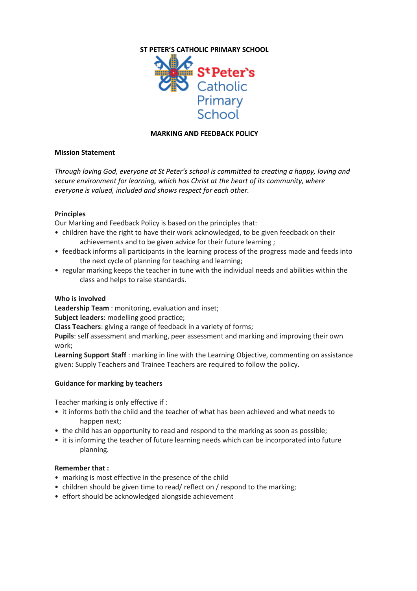

## **MARKING AND FEEDBACK POLICY**

# **Mission Statement**

*Through loving God, everyone at St Peter's school is committed to creating a happy, loving and secure environment for learning, which has Christ at the heart of its community, where everyone is valued, included and shows respect for each other.*

## **Principles**

Our Marking and Feedback Policy is based on the principles that:

- children have the right to have their work acknowledged, to be given feedback on their achievements and to be given advice for their future learning ;
- feedback informs all participants in the learning process of the progress made and feeds into the next cycle of planning for teaching and learning;
- regular marking keeps the teacher in tune with the individual needs and abilities within the class and helps to raise standards.

### **Who is involved**

**Leadership Team** : monitoring, evaluation and inset;

**Subject leaders**: modelling good practice;

**Class Teachers**: giving a range of feedback in a variety of forms;

**Pupils**: self assessment and marking, peer assessment and marking and improving their own work;

**Learning Support Staff** : marking in line with the Learning Objective, commenting on assistance given: Supply Teachers and Trainee Teachers are required to follow the policy.

# **Guidance for marking by teachers**

Teacher marking is only effective if :

- it informs both the child and the teacher of what has been achieved and what needs to happen next;
- the child has an opportunity to read and respond to the marking as soon as possible;
- it is informing the teacher of future learning needs which can be incorporated into future planning.

### **Remember that :**

- marking is most effective in the presence of the child
- children should be given time to read/ reflect on / respond to the marking;
- effort should be acknowledged alongside achievement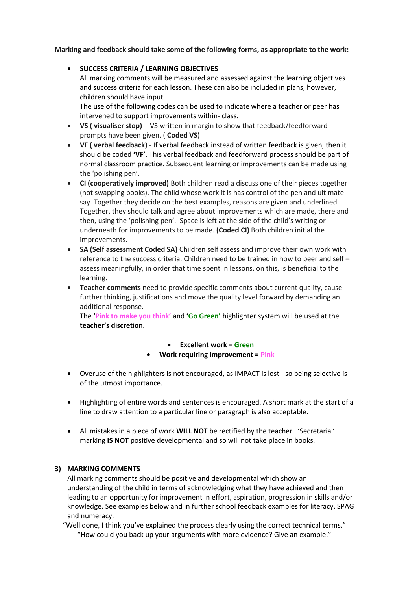**Marking and feedback should take some of the following forms, as appropriate to the work:**

**SUCCESS CRITERIA / LEARNING OBJECTIVES**

All marking comments will be measured and assessed against the learning objectives and success criteria for each lesson. These can also be included in plans, however, children should have input.

The use of the following codes can be used to indicate where a teacher or peer has intervened to support improvements within- class.

- **VS ( visualiser stop)** VS written in margin to show that feedback/feedforward prompts have been given. ( **Coded VS**)
- **VF ( verbal feedback)** If verbal feedback instead of written feedback is given, then it should be coded **'VF'**. This verbal feedback and feedforward process should be part of normal classroom practice. Subsequent learning or improvements can be made using the 'polishing pen'.
- **CI (cooperatively improved)** Both children read a discuss one of their pieces together (not swapping books). The child whose work it is has control of the pen and ultimate say. Together they decide on the best examples, reasons are given and underlined. Together, they should talk and agree about improvements which are made, there and then, using the 'polishing pen'. Space is left at the side of the child's writing or underneath for improvements to be made. **(Coded CI)** Both children initial the improvements.
- **SA (Self assessment Coded SA)** Children self assess and improve their own work with reference to the success criteria. Children need to be trained in how to peer and self – assess meaningfully, in order that time spent in lessons, on this, is beneficial to the learning.
- **Teacher comments** need to provide specific comments about current quality, cause further thinking, justifications and move the quality level forward by demanding an additional response.

The **'Pink to make you think'** and **'Go Green'** highlighter system will be used at the **teacher's discretion.** 

### **Excellent work = Green**

### **Work requiring improvement = Pink**

- Overuse of the highlighters is not encouraged, as IMPACT is lost so being selective is of the utmost importance.
- Highlighting of entire words and sentences is encouraged. A short mark at the start of a line to draw attention to a particular line or paragraph is also acceptable.
- All mistakes in a piece of work **WILL NOT** be rectified by the teacher. 'Secretarial' marking **IS NOT** positive developmental and so will not take place in books.

# **3) MARKING COMMENTS**

All marking comments should be positive and developmental which show an understanding of the child in terms of acknowledging what they have achieved and then leading to an opportunity for improvement in effort, aspiration, progression in skills and/or knowledge. See examples below and in further school feedback examples for literacy, SPAG and numeracy.

"Well done, I think you've explained the process clearly using the correct technical terms." "How could you back up your arguments with more evidence? Give an example."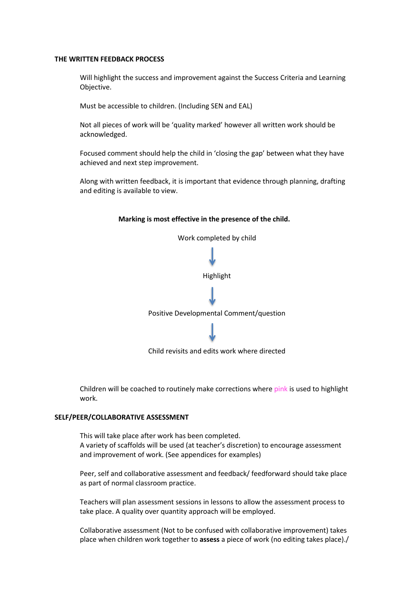#### **THE WRITTEN FEEDBACK PROCESS**

Will highlight the success and improvement against the Success Criteria and Learning Objective.

Must be accessible to children. (Including SEN and EAL)

Not all pieces of work will be 'quality marked' however all written work should be acknowledged.

Focused comment should help the child in 'closing the gap' between what they have achieved and next step improvement.

Along with written feedback, it is important that evidence through planning, drafting and editing is available to view.

## **Marking is most effective in the presence of the child.**



Child revisits and edits work where directed

Children will be coached to routinely make corrections where pink is used to highlight work.

#### **SELF/PEER/COLLABORATIVE ASSESSMENT**

This will take place after work has been completed. A variety of scaffolds will be used (at teacher's discretion) to encourage assessment and improvement of work. (See appendices for examples)

Peer, self and collaborative assessment and feedback/ feedforward should take place as part of normal classroom practice.

Teachers will plan assessment sessions in lessons to allow the assessment process to take place. A quality over quantity approach will be employed.

Collaborative assessment (Not to be confused with collaborative improvement) takes place when children work together to **assess** a piece of work (no editing takes place)./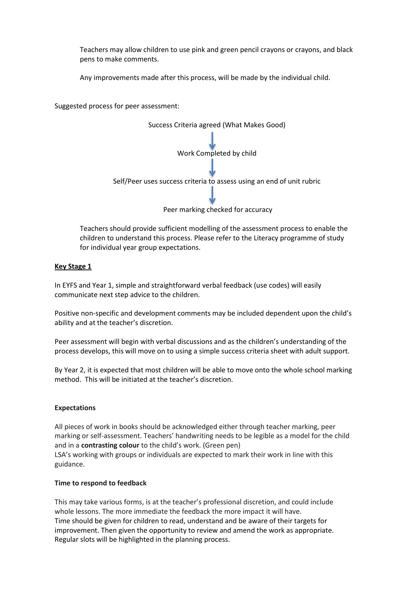Teachers may allow children to use pink and green pencil crayons or crayons, and black pens to make comments.

Any improvements made after this process, will be made by the individual child.

Suggested process for peer assessment:



Teachers should provide sufficient modelling of the assessment process to enable the children to understand this process. Please refer to the Literacy programme of study for individual year group expectations.

## **Key Stage 1**

In EYFS and Year 1, simple and straightforward verbal feedback (use codes) will easily communicate next step advice to the children.

Positive non-specific and development comments may be included dependent upon the child's ability and at the teacher's discretion.

Peer assessment will begin with verbal discussions and as the children's understanding of the process develops, this will move on to using a simple success criteria sheet with adult support.

By Year 2, it is expected that most children will be able to move onto the whole school marking method. This will be initiated at the teacher's discretion.

### **Expectations**

All pieces of work in books should be acknowledged either through teacher marking, peer marking or self-assessment. Teachers' handwriting needs to be legible as a model for the child and in a **contrasting colour** to the child's work. (Green pen) LSA's working with groups or individuals are expected to mark their work in line with this guidance.

### **Time to respond to feedback**

This may take various forms, is at the teacher's professional discretion, and could include whole lessons. The more immediate the feedback the more impact it will have. Time should be given for children to read, understand and be aware of their targets for improvement. Then given the opportunity to review and amend the work as appropriate. Regular slots will be highlighted in the planning process.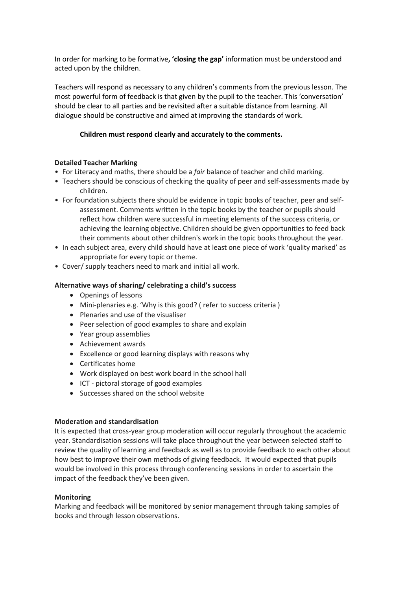In order for marking to be formative**, 'closing the gap'** information must be understood and acted upon by the children.

Teachers will respond as necessary to any children's comments from the previous lesson. The most powerful form of feedback is that given by the pupil to the teacher. This 'conversation' should be clear to all parties and be revisited after a suitable distance from learning. All dialogue should be constructive and aimed at improving the standards of work.

## **Children must respond clearly and accurately to the comments.**

## **Detailed Teacher Marking**

- For Literacy and maths, there should be a *fair* balance of teacher and child marking.
- Teachers should be conscious of checking the quality of peer and self-assessments made by children.
- For foundation subjects there should be evidence in topic books of teacher, peer and selfassessment. Comments written in the topic books by the teacher or pupils should reflect how children were successful in meeting elements of the success criteria, or achieving the learning objective. Children should be given opportunities to feed back their comments about other children's work in the topic books throughout the year.
- In each subject area, every child should have at least one piece of work 'quality marked' as appropriate for every topic or theme.
- Cover/ supply teachers need to mark and initial all work.

## **Alternative ways of sharing/ celebrating a child's success**

- Openings of lessons
- Mini-plenaries e.g. 'Why is this good? ( refer to success criteria )
- Plenaries and use of the visualiser
- Peer selection of good examples to share and explain
- Year group assemblies
- Achievement awards
- Excellence or good learning displays with reasons why
- Certificates home
- Work displayed on best work board in the school hall
- ICT pictoral storage of good examples
- Successes shared on the school website

### **Moderation and standardisation**

It is expected that cross-year group moderation will occur regularly throughout the academic year. Standardisation sessions will take place throughout the year between selected staff to review the quality of learning and feedback as well as to provide feedback to each other about how best to improve their own methods of giving feedback. It would expected that pupils would be involved in this process through conferencing sessions in order to ascertain the impact of the feedback they've been given.

### **Monitoring**

Marking and feedback will be monitored by senior management through taking samples of books and through lesson observations.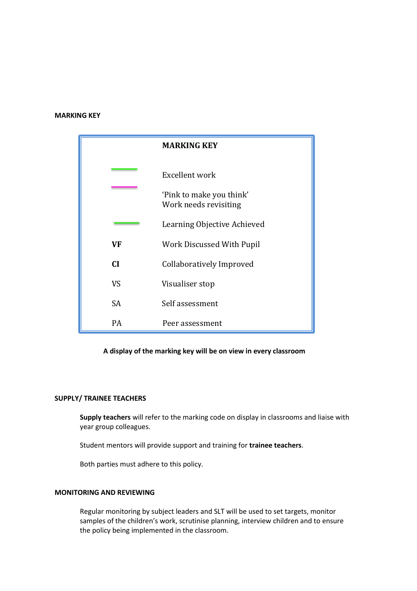#### **MARKING KEY**

|           | <b>MARKING KEY</b>                                |
|-----------|---------------------------------------------------|
|           | Excellent work                                    |
|           | 'Pink to make you think'<br>Work needs revisiting |
|           | Learning Objective Achieved                       |
| <b>VF</b> | Work Discussed With Pupil                         |
| <b>CI</b> | Collaboratively Improved                          |
| <b>VS</b> | Visualiser stop                                   |
| <b>SA</b> | Self assessment                                   |
| PA        | Peer assessment                                   |

#### **A display of the marking key will be on view in every classroom**

#### **SUPPLY/ TRAINEE TEACHERS**

**Supply teachers** will refer to the marking code on display in classrooms and liaise with year group colleagues.

Student mentors will provide support and training for **trainee teachers**.

Both parties must adhere to this policy.

#### **MONITORING AND REVIEWING**

Regular monitoring by subject leaders and SLT will be used to set targets, monitor samples of the children's work, scrutinise planning, interview children and to ensure the policy being implemented in the classroom.